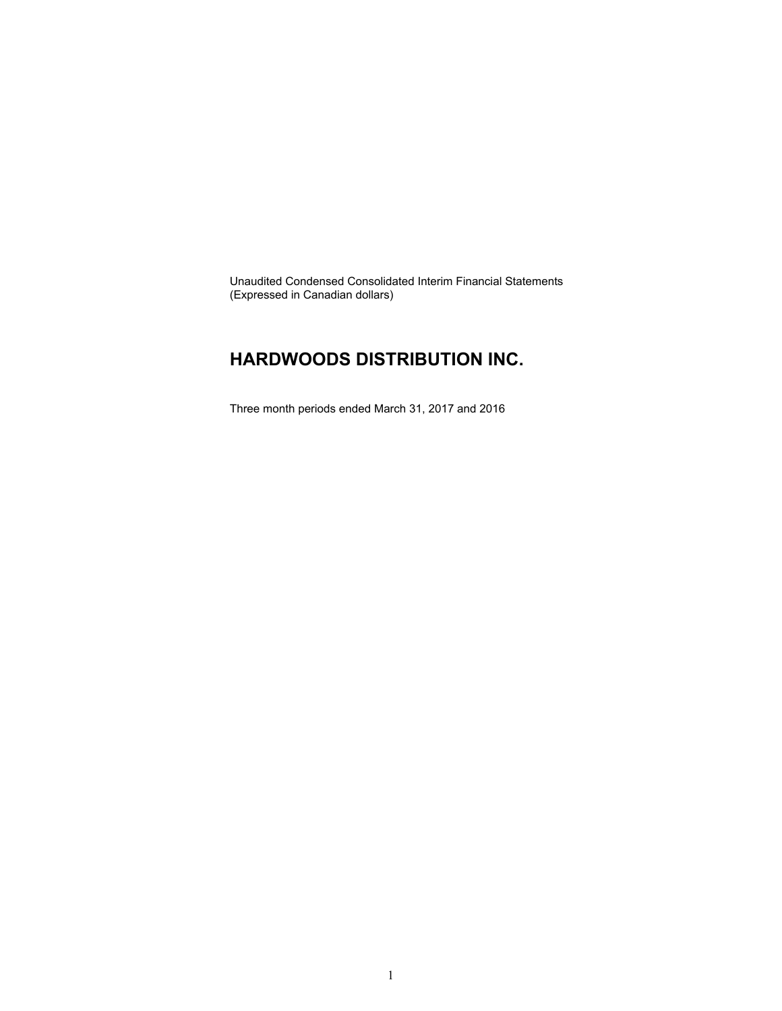Unaudited Condensed Consolidated Interim Financial Statements (Expressed in Canadian dollars)

### **HARDWOODS DISTRIBUTION INC.**

Three month periods ended March 31, 2017 and 2016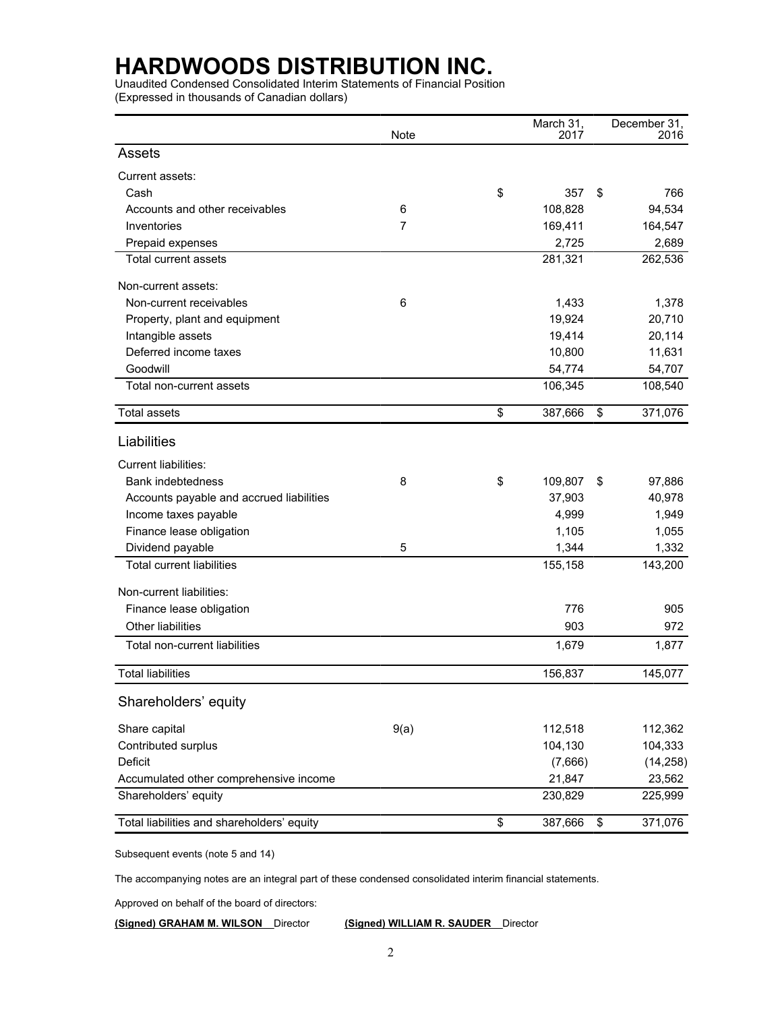Unaudited Condensed Consolidated Interim Statements of Financial Position (Expressed in thousands of Canadian dollars)

|                                            | Note | March 31,<br>2017 |    | December 31,<br>2016 |
|--------------------------------------------|------|-------------------|----|----------------------|
| <b>Assets</b>                              |      |                   |    |                      |
| Current assets:                            |      |                   |    |                      |
| Cash                                       |      | \$<br>357         | \$ | 766                  |
| Accounts and other receivables             | 6    | 108,828           |    | 94,534               |
| Inventories                                | 7    | 169,411           |    | 164,547              |
| Prepaid expenses                           |      | 2,725             |    | 2,689                |
| <b>Total current assets</b>                |      | 281,321           |    | 262,536              |
| Non-current assets:                        |      |                   |    |                      |
| Non-current receivables                    | 6    | 1,433             |    | 1,378                |
| Property, plant and equipment              |      | 19,924            |    | 20,710               |
| Intangible assets                          |      | 19,414            |    | 20,114               |
| Deferred income taxes                      |      | 10,800            |    | 11,631               |
| Goodwill                                   |      | 54,774            |    | 54,707               |
| Total non-current assets                   |      | 106,345           |    | 108,540              |
| <b>Total assets</b>                        |      | \$<br>387,666     | \$ | 371,076              |
| Liabilities                                |      |                   |    |                      |
| Current liabilities:                       |      |                   |    |                      |
| <b>Bank indebtedness</b>                   | 8    | \$<br>109,807     | S  | 97,886               |
| Accounts payable and accrued liabilities   |      | 37,903            |    | 40,978               |
| Income taxes payable                       |      | 4,999             |    | 1,949                |
| Finance lease obligation                   |      | 1,105             |    | 1,055                |
| Dividend payable                           | 5    | 1,344             |    | 1,332                |
| <b>Total current liabilities</b>           |      | 155,158           |    | 143,200              |
| Non-current liabilities:                   |      |                   |    |                      |
| Finance lease obligation                   |      | 776               |    | 905                  |
| <b>Other liabilities</b>                   |      | 903               |    | 972                  |
| Total non-current liabilities              |      | 1,679             |    | 1,877                |
| <b>Total liabilities</b>                   |      | 156,837           |    | 145,077              |
|                                            |      |                   |    |                      |
| Shareholders' equity                       |      |                   |    |                      |
| Share capital                              | 9(a) | 112,518           |    | 112,362              |
| Contributed surplus                        |      | 104,130           |    | 104,333              |
| <b>Deficit</b>                             |      | (7,666)           |    | (14, 258)            |
| Accumulated other comprehensive income     |      | 21,847            |    | 23,562               |
| Shareholders' equity                       |      | 230,829           |    | 225,999              |
| Total liabilities and shareholders' equity |      | \$<br>387,666     | \$ | 371,076              |

Subsequent events (note 5 and 14)

The accompanying notes are an integral part of these condensed consolidated interim financial statements.

Approved on behalf of the board of directors:

**(Signed) GRAHAM M. WILSON** Director **(Signed) WILLIAM R. SAUDER** Director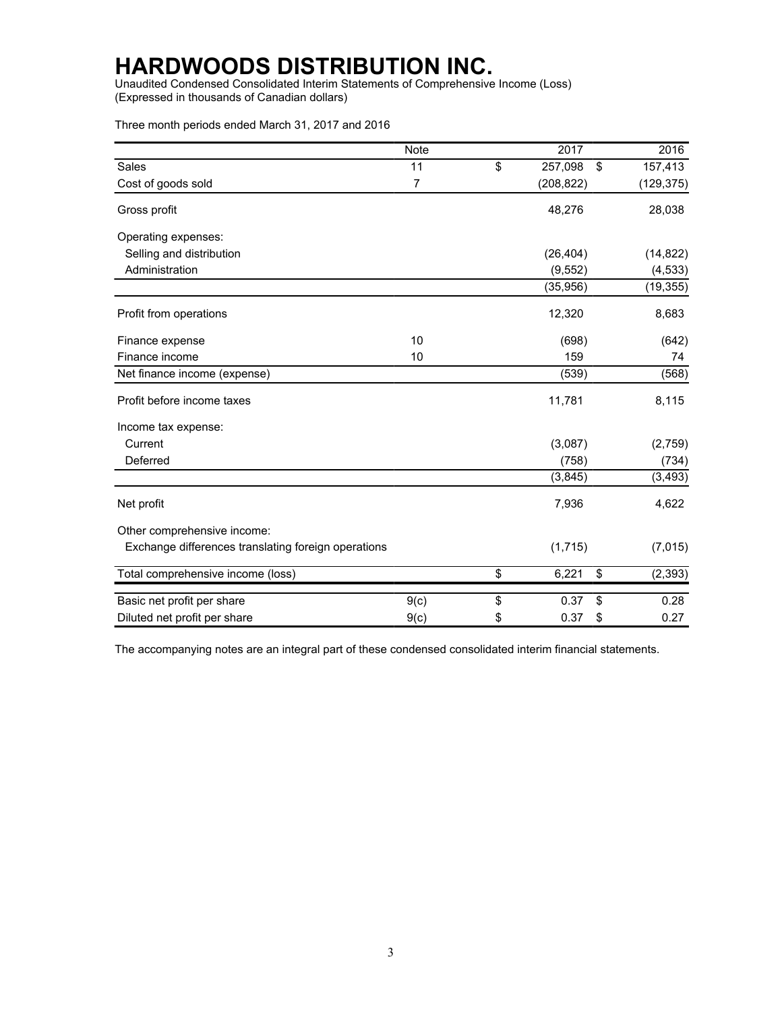Unaudited Condensed Consolidated Interim Statements of Comprehensive Income (Loss) (Expressed in thousands of Canadian dollars)

Three month periods ended March 31, 2017 and 2016

|                                                     | <b>Note</b>    |                          | 2017       | 2016           |
|-----------------------------------------------------|----------------|--------------------------|------------|----------------|
| Sales                                               | 11             | $\overline{\mathcal{L}}$ | 257,098    | \$<br>157,413  |
| Cost of goods sold                                  | $\overline{7}$ |                          | (208, 822) | (129, 375)     |
| Gross profit                                        |                |                          | 48,276     | 28,038         |
| Operating expenses:                                 |                |                          |            |                |
| Selling and distribution                            |                |                          | (26, 404)  | (14, 822)      |
| Administration                                      |                |                          | (9, 552)   | (4, 533)       |
|                                                     |                |                          | (35, 956)  | (19, 355)      |
| Profit from operations                              |                |                          | 12,320     | 8,683          |
| Finance expense                                     | 10             |                          | (698)      | (642)          |
| Finance income                                      | 10             |                          | 159        | 74             |
| Net finance income (expense)                        |                |                          | (539)      | (568)          |
| Profit before income taxes                          |                |                          | 11,781     | 8,115          |
| Income tax expense:                                 |                |                          |            |                |
| Current                                             |                |                          | (3,087)    | (2,759)        |
| Deferred                                            |                |                          | (758)      | (734)          |
|                                                     |                |                          | (3,845)    | (3, 493)       |
| Net profit                                          |                |                          | 7,936      | 4,622          |
| Other comprehensive income:                         |                |                          |            |                |
| Exchange differences translating foreign operations |                |                          | (1,715)    | (7,015)        |
| Total comprehensive income (loss)                   |                | \$                       | 6,221      | \$<br>(2, 393) |
| Basic net profit per share                          | 9(c)           | \$                       | 0.37       | \$<br>0.28     |
| Diluted net profit per share                        | 9(c)           | \$                       | 0.37       | \$<br>0.27     |

The accompanying notes are an integral part of these condensed consolidated interim financial statements.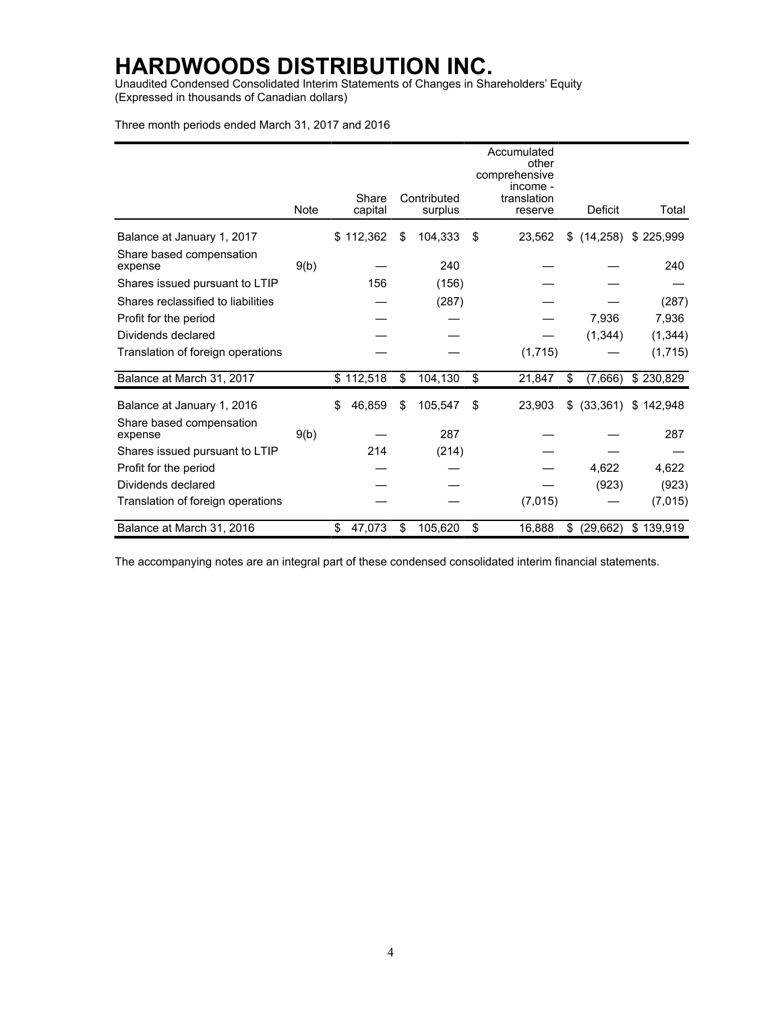Unaudited Condensed Consolidated Interim Statements of Changes in Shareholders' Equity (Expressed in thousands of Canadian dollars)

Three month periods ended March 31, 2017 and 2016

|                                     |      |                  |                        | Accumulated<br>other<br>comprehensive<br>income - |                 |           |
|-------------------------------------|------|------------------|------------------------|---------------------------------------------------|-----------------|-----------|
|                                     | Note | Share<br>capital | Contributed<br>surplus | translation<br>reserve                            | Deficit         | Total     |
| Balance at January 1, 2017          |      | \$112,362        | \$<br>104,333          | \$<br>23,562                                      | \$<br>(14, 258) | \$225,999 |
| Share based compensation<br>expense | 9(b) |                  | 240                    |                                                   |                 | 240       |
| Shares issued pursuant to LTIP      |      | 156              | (156)                  |                                                   |                 |           |
| Shares reclassified to liabilities  |      |                  | (287)                  |                                                   |                 | (287)     |
| Profit for the period               |      |                  |                        |                                                   | 7,936           | 7,936     |
| Dividends declared                  |      |                  |                        |                                                   | (1, 344)        | (1, 344)  |
| Translation of foreign operations   |      |                  |                        | (1,715)                                           |                 | (1,715)   |
| Balance at March 31, 2017           |      | \$112,518        | \$<br>104,130          | \$<br>21,847                                      | \$<br>(7,666)   | \$230,829 |
| Balance at January 1, 2016          |      | \$<br>46,859     | \$<br>105,547          | \$<br>23,903                                      | \$<br>(33, 361) | \$142,948 |
| Share based compensation<br>expense | 9(b) |                  | 287                    |                                                   |                 | 287       |
| Shares issued pursuant to LTIP      |      | 214              | (214)                  |                                                   |                 |           |
| Profit for the period               |      |                  |                        |                                                   | 4,622           | 4,622     |
| Dividends declared                  |      |                  |                        |                                                   | (923)           | (923)     |
| Translation of foreign operations   |      |                  |                        | (7,015)                                           |                 | (7,015)   |
| Balance at March 31, 2016           |      | \$<br>47,073     | \$<br>105,620          | \$<br>16,888                                      | \$<br>(29, 662) | \$139,919 |

The accompanying notes are an integral part of these condensed consolidated interim financial statements.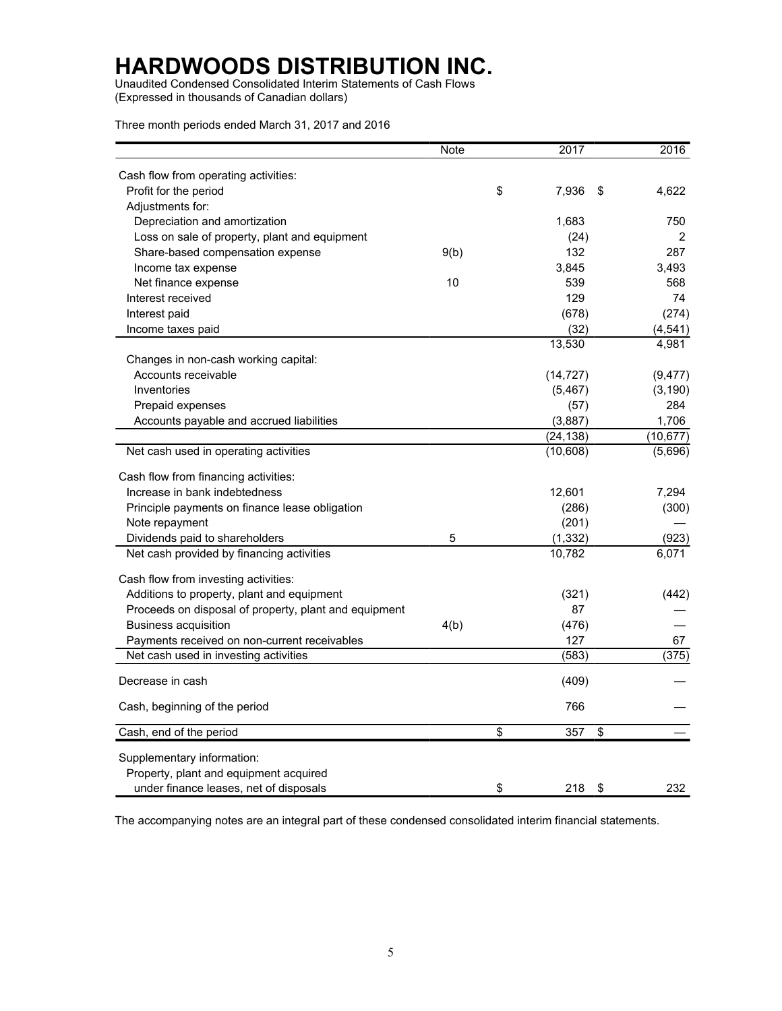Unaudited Condensed Consolidated Interim Statements of Cash Flows (Expressed in thousands of Canadian dollars)

Three month periods ended March 31, 2017 and 2016

|                                                       | Note | 2017        | 2016        |
|-------------------------------------------------------|------|-------------|-------------|
| Cash flow from operating activities:                  |      |             |             |
| Profit for the period                                 |      | \$<br>7,936 | \$<br>4,622 |
| Adjustments for:                                      |      |             |             |
| Depreciation and amortization                         |      | 1,683       | 750         |
| Loss on sale of property, plant and equipment         |      | (24)        | 2           |
| Share-based compensation expense                      | 9(b) | 132         | 287         |
| Income tax expense                                    |      | 3,845       | 3,493       |
| Net finance expense                                   | 10   | 539         | 568         |
| Interest received                                     |      | 129         | 74          |
| Interest paid                                         |      | (678)       | (274)       |
| Income taxes paid                                     |      | (32)        | (4,541)     |
|                                                       |      | 13,530      | 4,981       |
| Changes in non-cash working capital:                  |      |             |             |
| Accounts receivable                                   |      | (14, 727)   | (9, 477)    |
| Inventories                                           |      | (5, 467)    | (3, 190)    |
| Prepaid expenses                                      |      | (57)        | 284         |
| Accounts payable and accrued liabilities              |      | (3,887)     | 1,706       |
|                                                       |      | (24, 138)   | (10, 677)   |
| Net cash used in operating activities                 |      | (10,608)    | (5,696)     |
|                                                       |      |             |             |
| Cash flow from financing activities:                  |      |             |             |
| Increase in bank indebtedness                         |      | 12,601      | 7,294       |
| Principle payments on finance lease obligation        |      | (286)       | (300)       |
| Note repayment                                        |      | (201)       |             |
| Dividends paid to shareholders                        | 5    | (1, 332)    | (923)       |
| Net cash provided by financing activities             |      | 10,782      | 6,071       |
|                                                       |      |             |             |
| Cash flow from investing activities:                  |      |             |             |
| Additions to property, plant and equipment            |      | (321)       | (442)       |
| Proceeds on disposal of property, plant and equipment |      | 87          |             |
| <b>Business acquisition</b>                           | 4(b) | (476)       |             |
| Payments received on non-current receivables          |      | 127         | 67          |
| Net cash used in investing activities                 |      | (583)       | (375)       |
| Decrease in cash                                      |      |             |             |
|                                                       |      | (409)       |             |
| Cash, beginning of the period                         |      | 766         |             |
| Cash, end of the period                               |      | \$<br>357   | \$          |
|                                                       |      |             |             |
| Supplementary information:                            |      |             |             |
| Property, plant and equipment acquired                |      |             |             |
| under finance leases, net of disposals                |      | \$<br>218   | \$<br>232   |

The accompanying notes are an integral part of these condensed consolidated interim financial statements.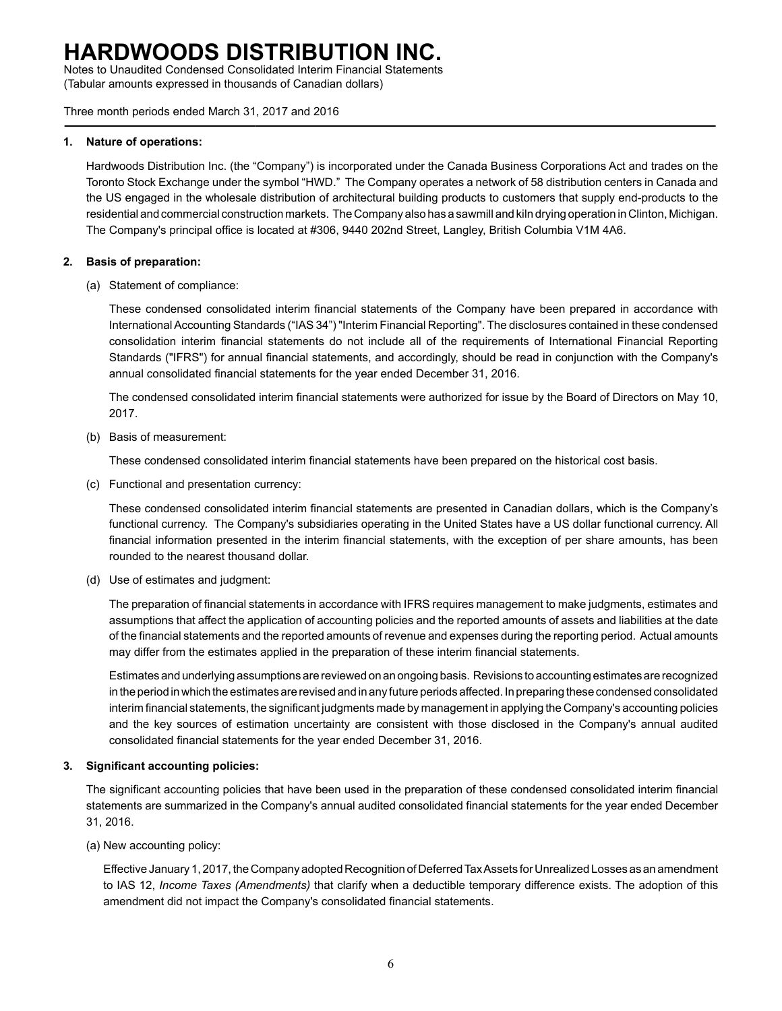Notes to Unaudited Condensed Consolidated Interim Financial Statements (Tabular amounts expressed in thousands of Canadian dollars)

Three month periods ended March 31, 2017 and 2016

### **1. Nature of operations:**

Hardwoods Distribution Inc. (the "Company") is incorporated under the Canada Business Corporations Act and trades on the Toronto Stock Exchange under the symbol "HWD." The Company operates a network of 58 distribution centers in Canada and the US engaged in the wholesale distribution of architectural building products to customers that supply end-products to the residential and commercial construction markets. The Company also has a sawmill and kiln drying operation in Clinton, Michigan. The Company's principal office is located at #306, 9440 202nd Street, Langley, British Columbia V1M 4A6.

### **2. Basis of preparation:**

(a) Statement of compliance:

These condensed consolidated interim financial statements of the Company have been prepared in accordance with International Accounting Standards ("IAS 34") "Interim Financial Reporting". The disclosures contained in these condensed consolidation interim financial statements do not include all of the requirements of International Financial Reporting Standards ("IFRS") for annual financial statements, and accordingly, should be read in conjunction with the Company's annual consolidated financial statements for the year ended December 31, 2016.

The condensed consolidated interim financial statements were authorized for issue by the Board of Directors on May 10, 2017.

(b) Basis of measurement:

These condensed consolidated interim financial statements have been prepared on the historical cost basis.

(c) Functional and presentation currency:

These condensed consolidated interim financial statements are presented in Canadian dollars, which is the Company's functional currency. The Company's subsidiaries operating in the United States have a US dollar functional currency. All financial information presented in the interim financial statements, with the exception of per share amounts, has been rounded to the nearest thousand dollar.

(d) Use of estimates and judgment:

The preparation of financial statements in accordance with IFRS requires management to make judgments, estimates and assumptions that affect the application of accounting policies and the reported amounts of assets and liabilities at the date of the financial statements and the reported amounts of revenue and expenses during the reporting period. Actual amounts may differ from the estimates applied in the preparation of these interim financial statements.

Estimates and underlying assumptions are reviewed on an ongoing basis. Revisions to accounting estimates are recognized in the period in which the estimates are revised and in any future periods affected. In preparing these condensed consolidated interim financial statements, the significant judgments made by management in applying the Company's accounting policies and the key sources of estimation uncertainty are consistent with those disclosed in the Company's annual audited consolidated financial statements for the year ended December 31, 2016.

### **3. Significant accounting policies:**

The significant accounting policies that have been used in the preparation of these condensed consolidated interim financial statements are summarized in the Company's annual audited consolidated financial statements for the year ended December 31, 2016.

(a) New accounting policy:

Effective January 1, 2017, the Company adopted Recognition of Deferred Tax Assets for Unrealized Losses as an amendment to IAS 12, *Income Taxes (Amendments)* that clarify when a deductible temporary difference exists. The adoption of this amendment did not impact the Company's consolidated financial statements.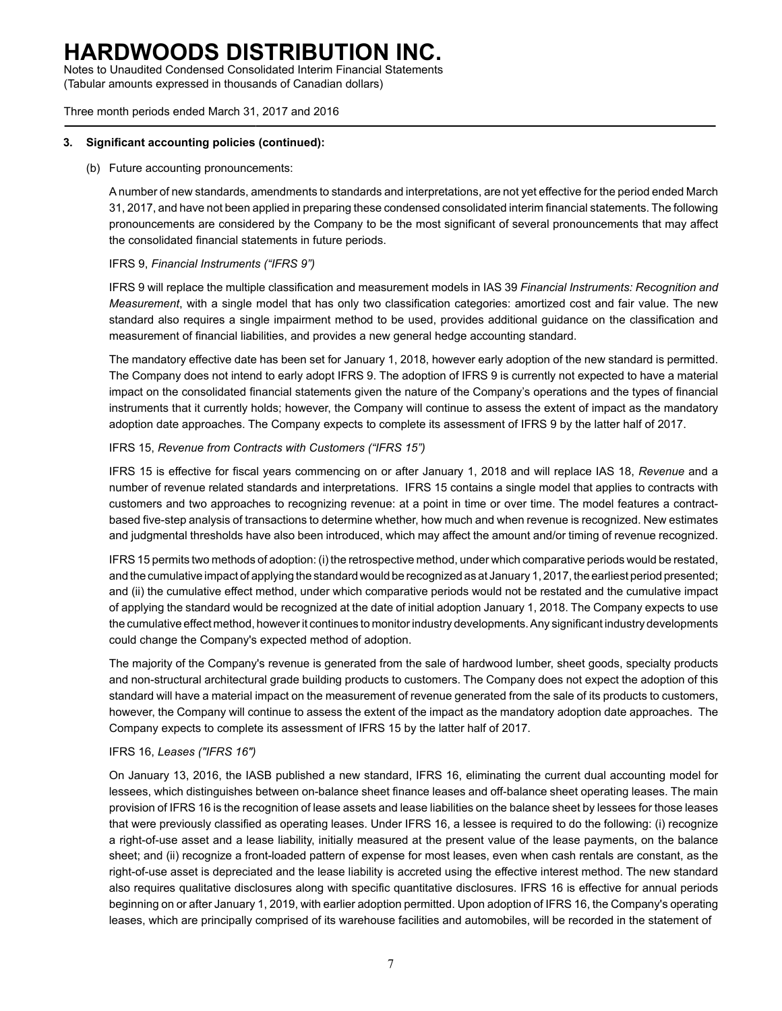Notes to Unaudited Condensed Consolidated Interim Financial Statements (Tabular amounts expressed in thousands of Canadian dollars)

Three month periods ended March 31, 2017 and 2016

### **3. Significant accounting policies (continued):**

### (b) Future accounting pronouncements:

Anumber of new standards, amendments to standards and interpretations, are not yet effective for the period ended March 31, 2017, and have not been applied in preparing these condensed consolidated interim financial statements. The following pronouncements are considered by the Company to be the most significant of several pronouncements that may affect the consolidated financial statements in future periods.

### IFRS 9, *Financial Instruments ("IFRS 9")*

IFRS 9 will replace the multiple classification and measurement models in IAS 39 *Financial Instruments: Recognition and Measurement*, with a single model that has only two classification categories: amortized cost and fair value. The new standard also requires a single impairment method to be used, provides additional guidance on the classification and measurement of financial liabilities, and provides a new general hedge accounting standard.

The mandatory effective date has been set for January 1, 2018, however early adoption of the new standard is permitted. The Company does not intend to early adopt IFRS 9. The adoption of IFRS 9 is currently not expected to have a material impact on the consolidated financial statements given the nature of the Company's operations and the types of financial instruments that it currently holds; however, the Company will continue to assess the extent of impact as the mandatory adoption date approaches. The Company expects to complete its assessment of IFRS 9 by the latter half of 2017.

### IFRS 15, *Revenue from Contracts with Customers ("IFRS 15")*

IFRS 15 is effective for fiscal years commencing on or after January 1, 2018 and will replace IAS 18, *Revenue* and a number of revenue related standards and interpretations. IFRS 15 contains a single model that applies to contracts with customers and two approaches to recognizing revenue: at a point in time or over time. The model features a contractbased five-step analysis of transactions to determine whether, how much and when revenue is recognized. New estimates and judgmental thresholds have also been introduced, which may affect the amount and/or timing of revenue recognized.

IFRS 15 permits two methods of adoption: (i) the retrospective method, under which comparative periods would be restated, and the cumulative impact of applying the standard would be recognized as at January 1, 2017, the earliest period presented; and (ii) the cumulative effect method, under which comparative periods would not be restated and the cumulative impact of applying the standard would be recognized at the date of initial adoption January 1, 2018. The Company expects to use the cumulative effect method, however it continues to monitor industry developments. Any significant industry developments could change the Company's expected method of adoption.

The majority of the Company's revenue is generated from the sale of hardwood lumber, sheet goods, specialty products and non-structural architectural grade building products to customers. The Company does not expect the adoption of this standard will have a material impact on the measurement of revenue generated from the sale of its products to customers, however, the Company will continue to assess the extent of the impact as the mandatory adoption date approaches. The Company expects to complete its assessment of IFRS 15 by the latter half of 2017.

### IFRS 16, *Leases ("IFRS 16")*

On January 13, 2016, the IASB published a new standard, IFRS 16, eliminating the current dual accounting model for lessees, which distinguishes between on-balance sheet finance leases and off-balance sheet operating leases. The main provision of IFRS 16 is the recognition of lease assets and lease liabilities on the balance sheet by lessees for those leases that were previously classified as operating leases. Under IFRS 16, a lessee is required to do the following: (i) recognize a right-of-use asset and a lease liability, initially measured at the present value of the lease payments, on the balance sheet; and (ii) recognize a front-loaded pattern of expense for most leases, even when cash rentals are constant, as the right-of-use asset is depreciated and the lease liability is accreted using the effective interest method. The new standard also requires qualitative disclosures along with specific quantitative disclosures. IFRS 16 is effective for annual periods beginning on or after January 1, 2019, with earlier adoption permitted. Upon adoption of IFRS 16, the Company's operating leases, which are principally comprised of its warehouse facilities and automobiles, will be recorded in the statement of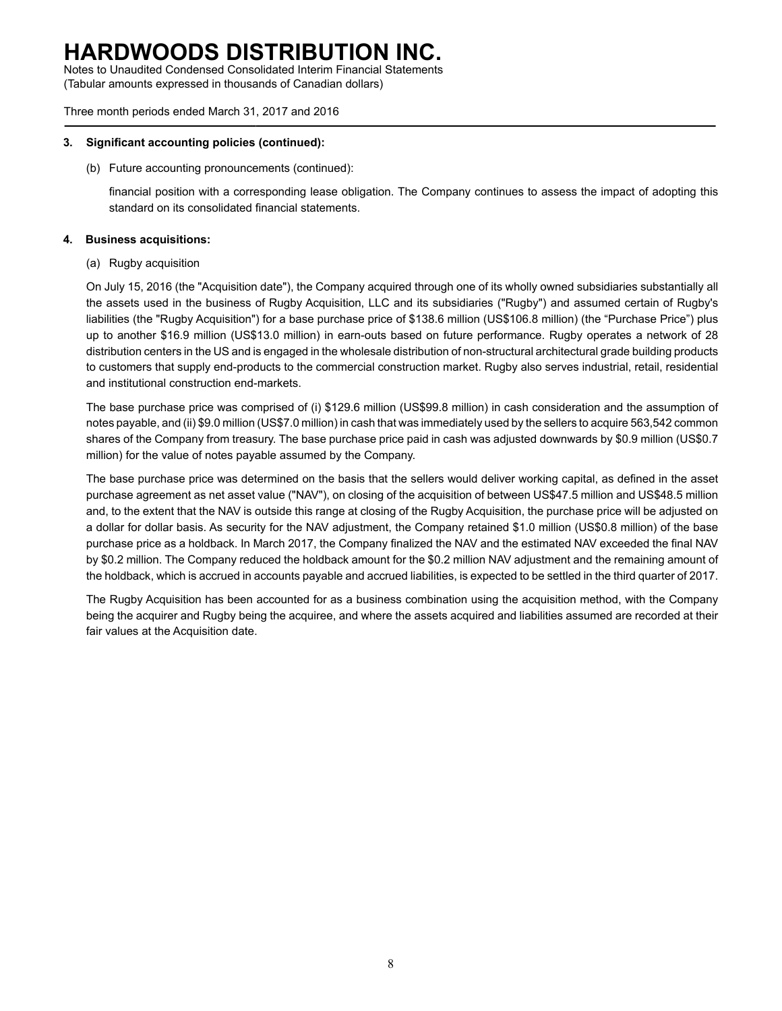Notes to Unaudited Condensed Consolidated Interim Financial Statements (Tabular amounts expressed in thousands of Canadian dollars)

Three month periods ended March 31, 2017 and 2016

### **3. Significant accounting policies (continued):**

(b) Future accounting pronouncements (continued):

financial position with a corresponding lease obligation. The Company continues to assess the impact of adopting this standard on its consolidated financial statements.

### **4. Business acquisitions:**

(a) Rugby acquisition

On July 15, 2016 (the "Acquisition date"), the Company acquired through one of its wholly owned subsidiaries substantially all the assets used in the business of Rugby Acquisition, LLC and its subsidiaries ("Rugby") and assumed certain of Rugby's liabilities (the "Rugby Acquisition") for a base purchase price of \$138.6 million (US\$106.8 million) (the "Purchase Price") plus up to another \$16.9 million (US\$13.0 million) in earn-outs based on future performance. Rugby operates a network of 28 distribution centers in the US and is engaged in the wholesale distribution of non-structural architectural grade building products to customers that supply end-products to the commercial construction market. Rugby also serves industrial, retail, residential and institutional construction end-markets.

The base purchase price was comprised of (i) \$129.6 million (US\$99.8 million) in cash consideration and the assumption of notes payable, and (ii) \$9.0 million (US\$7.0 million) in cash that was immediately used by the sellers to acquire 563,542 common shares of the Company from treasury. The base purchase price paid in cash was adjusted downwards by \$0.9 million (US\$0.7 million) for the value of notes payable assumed by the Company.

The base purchase price was determined on the basis that the sellers would deliver working capital, as defined in the asset purchase agreement as net asset value ("NAV"), on closing of the acquisition of between US\$47.5 million and US\$48.5 million and, to the extent that the NAV is outside this range at closing of the Rugby Acquisition, the purchase price will be adjusted on a dollar for dollar basis. As security for the NAV adjustment, the Company retained \$1.0 million (US\$0.8 million) of the base purchase price as a holdback. In March 2017, the Company finalized the NAV and the estimated NAV exceeded the final NAV by \$0.2 million. The Company reduced the holdback amount for the \$0.2 million NAV adjustment and the remaining amount of the holdback, which is accrued in accounts payable and accrued liabilities, is expected to be settled in the third quarter of 2017.

The Rugby Acquisition has been accounted for as a business combination using the acquisition method, with the Company being the acquirer and Rugby being the acquiree, and where the assets acquired and liabilities assumed are recorded at their fair values at the Acquisition date.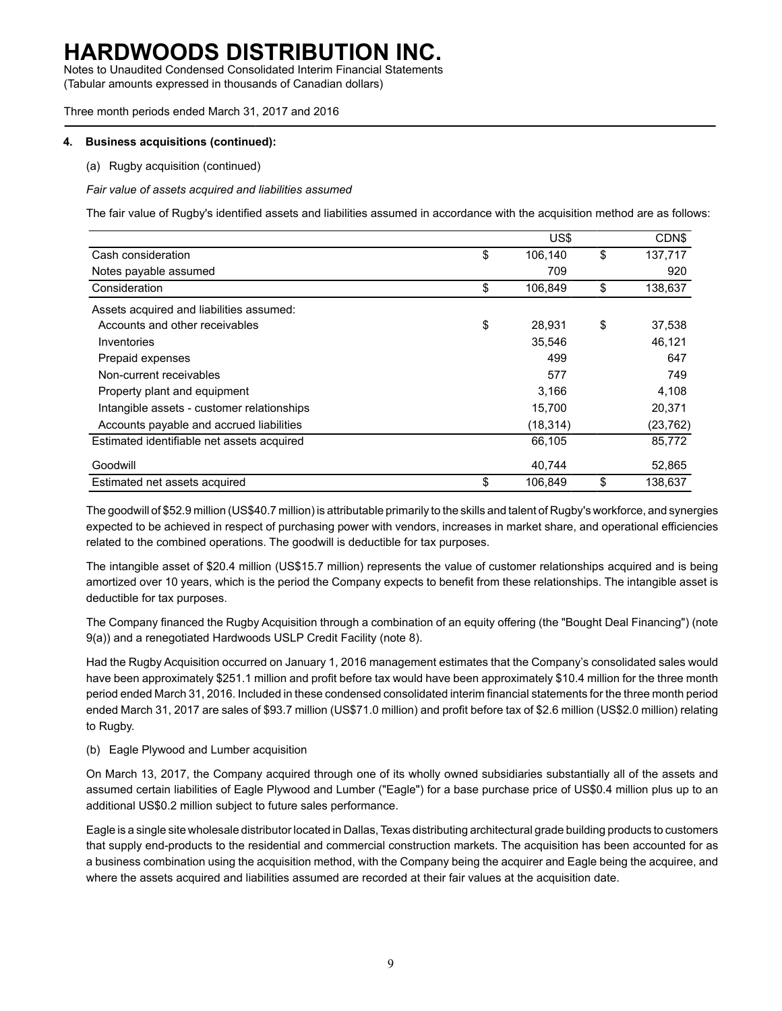Notes to Unaudited Condensed Consolidated Interim Financial Statements (Tabular amounts expressed in thousands of Canadian dollars)

Three month periods ended March 31, 2017 and 2016

#### **4. Business acquisitions (continued):**

(a) Rugby acquisition (continued)

*Fair value of assets acquired and liabilities assumed*

The fair value of Rugby's identified assets and liabilities assumed in accordance with the acquisition method are as follows:

|                                            | US\$          | CDN\$         |
|--------------------------------------------|---------------|---------------|
| Cash consideration                         | \$<br>106,140 | \$<br>137,717 |
| Notes payable assumed                      | 709           | 920           |
| Consideration                              | \$<br>106,849 | \$<br>138,637 |
| Assets acquired and liabilities assumed:   |               |               |
| Accounts and other receivables             | \$<br>28,931  | \$<br>37,538  |
| Inventories                                | 35,546        | 46,121        |
| Prepaid expenses                           | 499           | 647           |
| Non-current receivables                    | 577           | 749           |
| Property plant and equipment               | 3.166         | 4,108         |
| Intangible assets - customer relationships | 15,700        | 20,371        |
| Accounts payable and accrued liabilities   | (18, 314)     | (23, 762)     |
| Estimated identifiable net assets acquired | 66,105        | 85,772        |
| Goodwill                                   | 40,744        | 52,865        |
| Estimated net assets acquired              | \$<br>106.849 | \$<br>138.637 |

The goodwill of \$52.9 million (US\$40.7 million) is attributable primarily to the skills and talent of Rugby's workforce, and synergies expected to be achieved in respect of purchasing power with vendors, increases in market share, and operational efficiencies related to the combined operations. The goodwill is deductible for tax purposes.

The intangible asset of \$20.4 million (US\$15.7 million) represents the value of customer relationships acquired and is being amortized over 10 years, which is the period the Company expects to benefit from these relationships. The intangible asset is deductible for tax purposes.

The Company financed the Rugby Acquisition through a combination of an equity offering (the "Bought Deal Financing") (note 9(a)) and a renegotiated Hardwoods USLP Credit Facility (note 8).

Had the Rugby Acquisition occurred on January 1, 2016 management estimates that the Company's consolidated sales would have been approximately \$251.1 million and profit before tax would have been approximately \$10.4 million for the three month period ended March 31, 2016. Included in these condensed consolidated interim financial statements for the three month period ended March 31, 2017 are sales of \$93.7 million (US\$71.0 million) and profit before tax of \$2.6 million (US\$2.0 million) relating to Rugby.

#### (b) Eagle Plywood and Lumber acquisition

On March 13, 2017, the Company acquired through one of its wholly owned subsidiaries substantially all of the assets and assumed certain liabilities of Eagle Plywood and Lumber ("Eagle") for a base purchase price of US\$0.4 million plus up to an additional US\$0.2 million subject to future sales performance.

Eagle is a single site wholesale distributor located in Dallas, Texas distributing architectural grade building products to customers that supply end-products to the residential and commercial construction markets. The acquisition has been accounted for as a business combination using the acquisition method, with the Company being the acquirer and Eagle being the acquiree, and where the assets acquired and liabilities assumed are recorded at their fair values at the acquisition date.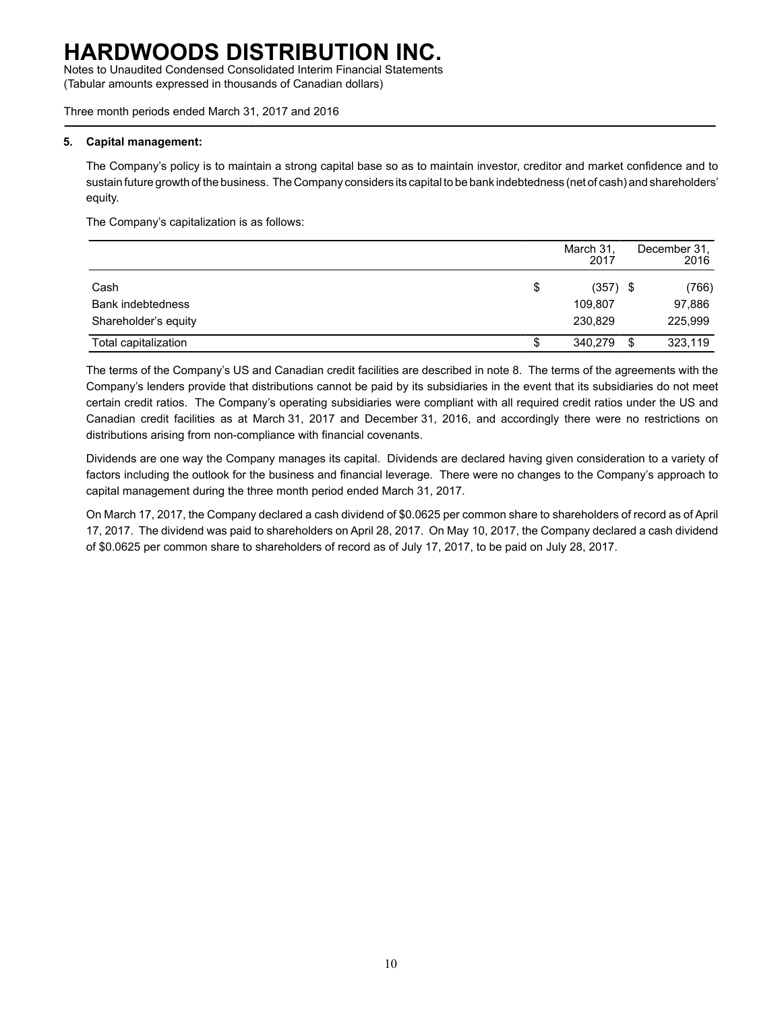Notes to Unaudited Condensed Consolidated Interim Financial Statements (Tabular amounts expressed in thousands of Canadian dollars)

Three month periods ended March 31, 2017 and 2016

### **5. Capital management:**

The Company's policy is to maintain a strong capital base so as to maintain investor, creditor and market confidence and to sustain future growth of the business. The Company considers its capital to be bank indebtedness (net of cash) and shareholders' equity.

The Company's capitalization is as follows:

|                          |    | March 31,<br>2017 |    | December 31.<br>2016 |
|--------------------------|----|-------------------|----|----------------------|
| Cash                     | \$ | $(357)$ \$        |    | (766)                |
| <b>Bank indebtedness</b> |    | 109.807           |    | 97,886               |
| Shareholder's equity     |    | 230.829           |    | 225,999              |
| Total capitalization     | Œ  | 340,279           | -S | 323,119              |

The terms of the Company's US and Canadian credit facilities are described in note 8. The terms of the agreements with the Company's lenders provide that distributions cannot be paid by its subsidiaries in the event that its subsidiaries do not meet certain credit ratios. The Company's operating subsidiaries were compliant with all required credit ratios under the US and Canadian credit facilities as at March 31, 2017 and December 31, 2016, and accordingly there were no restrictions on distributions arising from non-compliance with financial covenants.

Dividends are one way the Company manages its capital. Dividends are declared having given consideration to a variety of factors including the outlook for the business and financial leverage. There were no changes to the Company's approach to capital management during the three month period ended March 31, 2017.

On March 17, 2017, the Company declared a cash dividend of \$0.0625 per common share to shareholders of record as of April 17, 2017. The dividend was paid to shareholders on April 28, 2017. On May 10, 2017, the Company declared a cash dividend of \$0.0625 per common share to shareholders of record as of July 17, 2017, to be paid on July 28, 2017.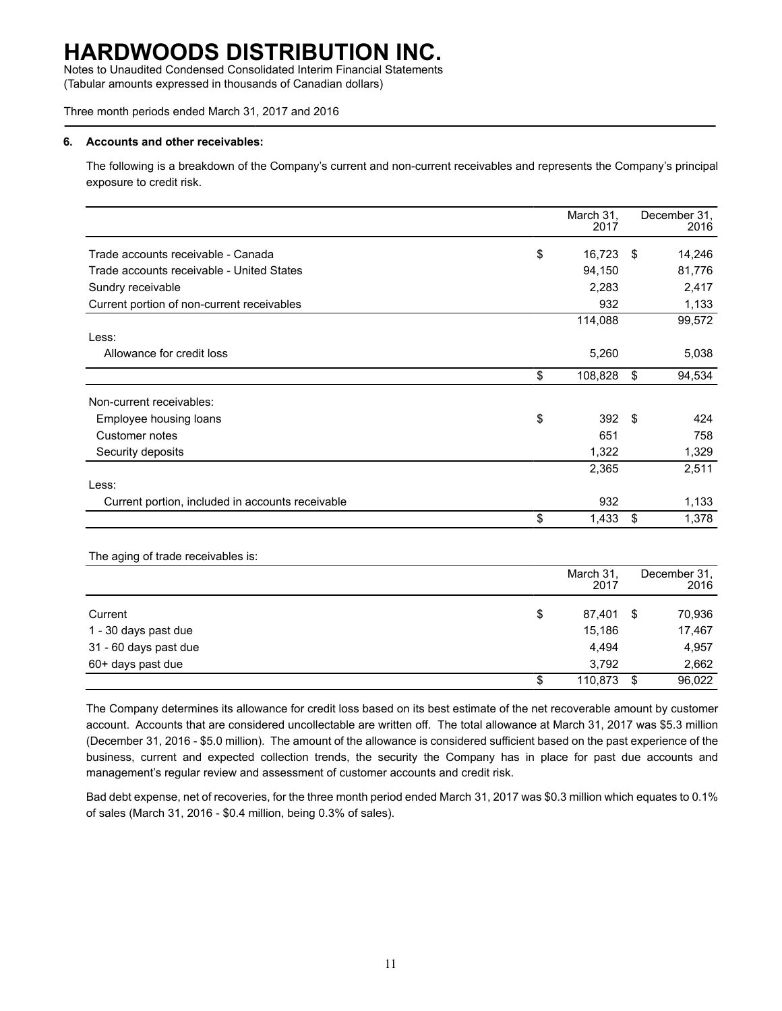Notes to Unaudited Condensed Consolidated Interim Financial Statements (Tabular amounts expressed in thousands of Canadian dollars)

#### Three month periods ended March 31, 2017 and 2016

#### **6. Accounts and other receivables:**

The following is a breakdown of the Company's current and non-current receivables and represents the Company's principal exposure to credit risk.

|                                                  | March 31,<br>2017 |     | December 31,<br>2016 |
|--------------------------------------------------|-------------------|-----|----------------------|
| Trade accounts receivable - Canada               | \$<br>16,723      | -\$ | 14,246               |
| Trade accounts receivable - United States        | 94,150            |     | 81,776               |
| Sundry receivable                                | 2,283             |     | 2,417                |
| Current portion of non-current receivables       | 932               |     | 1,133                |
|                                                  | 114,088           |     | 99,572               |
| Less:                                            |                   |     |                      |
| Allowance for credit loss                        | 5,260             |     | 5,038                |
|                                                  | \$<br>108,828     | \$  | 94,534               |
| Non-current receivables:                         |                   |     |                      |
| Employee housing loans                           | \$<br>392         | \$  | 424                  |
| Customer notes                                   | 651               |     | 758                  |
| Security deposits                                | 1,322             |     | 1,329                |
|                                                  | 2,365             |     | 2,511                |
| Less:                                            |                   |     |                      |
| Current portion, included in accounts receivable | 932               |     | 1,133                |
|                                                  | \$<br>1,433       | \$  | 1,378                |

The aging of trade receivables is:

|                       | March 31,<br>2017 |      | December 31,<br>2016 |
|-----------------------|-------------------|------|----------------------|
| Current               | \$<br>87,401      | - \$ | 70,936               |
| 1 - 30 days past due  | 15,186            |      | 17,467               |
| 31 - 60 days past due | 4.494             |      | 4,957                |
| 60+ days past due     | 3,792             |      | 2,662                |
|                       | \$<br>110,873     | -S   | 96,022               |

The Company determines its allowance for credit loss based on its best estimate of the net recoverable amount by customer account. Accounts that are considered uncollectable are written off. The total allowance at March 31, 2017 was \$5.3 million (December 31, 2016 - \$5.0 million). The amount of the allowance is considered sufficient based on the past experience of the business, current and expected collection trends, the security the Company has in place for past due accounts and management's regular review and assessment of customer accounts and credit risk.

Bad debt expense, net of recoveries, for the three month period ended March 31, 2017 was \$0.3 million which equates to 0.1% of sales (March 31, 2016 - \$0.4 million, being 0.3% of sales).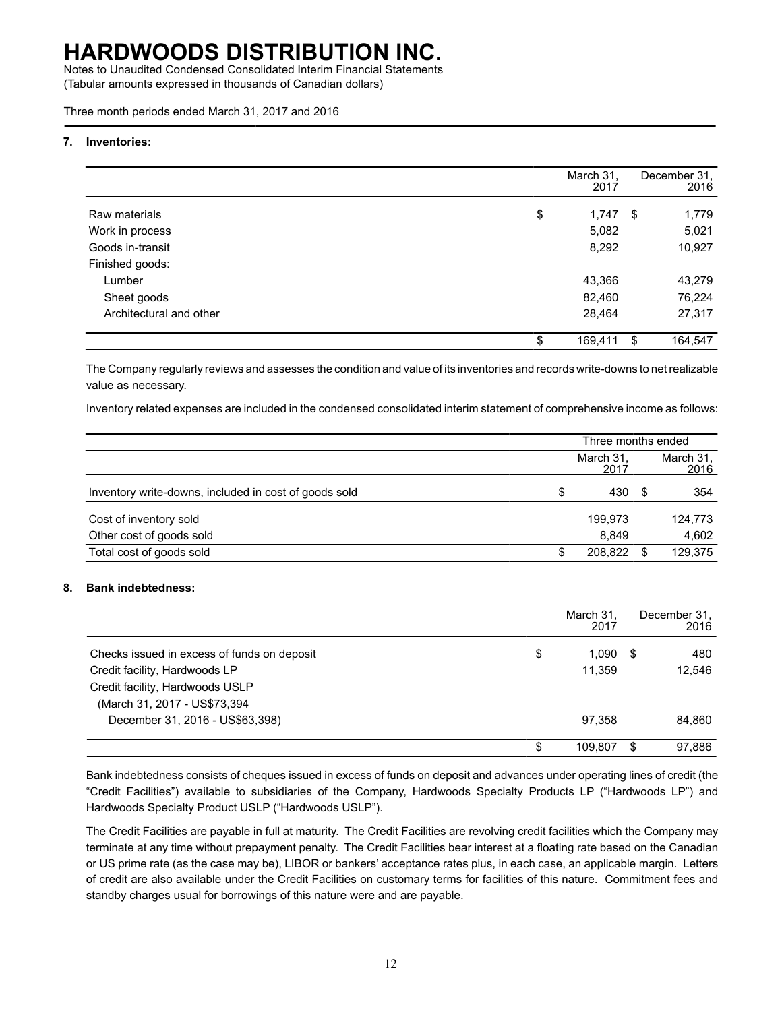Notes to Unaudited Condensed Consolidated Interim Financial Statements (Tabular amounts expressed in thousands of Canadian dollars)

Three month periods ended March 31, 2017 and 2016

#### **7. Inventories:**

|                         | March 31,<br>2017 |   | December 31.<br>2016 |
|-------------------------|-------------------|---|----------------------|
| Raw materials           | \$<br>$1,747$ \$  |   | 1,779                |
| Work in process         | 5,082             |   | 5,021                |
| Goods in-transit        | 8,292             |   | 10,927               |
| Finished goods:         |                   |   |                      |
| Lumber                  | 43,366            |   | 43,279               |
| Sheet goods             | 82,460            |   | 76,224               |
| Architectural and other | 28,464            |   | 27,317               |
|                         | \$<br>169,411     | S | 164,547              |

The Company regularly reviews and assesses the condition and value of its inventories and records write-downs to net realizable value as necessary.

Inventory related expenses are included in the condensed consolidated interim statement of comprehensive income as follows:

|                                                       |    | Three months ended |      |                          |  |  |  |
|-------------------------------------------------------|----|--------------------|------|--------------------------|--|--|--|
|                                                       |    | March 31.<br>2017  |      | March 31,<br><u>2016</u> |  |  |  |
| Inventory write-downs, included in cost of goods sold | \$ | 430                | - \$ | 354                      |  |  |  |
| Cost of inventory sold                                |    | 199.973            |      | 124,773                  |  |  |  |
| Other cost of goods sold                              |    | 8.849              |      | 4,602                    |  |  |  |
| Total cost of goods sold                              | S  | 208.822            |      | 129,375                  |  |  |  |

### **8. Bank indebtedness:**

|                                             | March 31,<br>2017 |      | December 31.<br>2016 |
|---------------------------------------------|-------------------|------|----------------------|
| Checks issued in excess of funds on deposit | \$<br>1.090       | - \$ | 480                  |
| Credit facility, Hardwoods LP               | 11.359            |      | 12.546               |
| Credit facility, Hardwoods USLP             |                   |      |                      |
| (March 31, 2017 - US\$73,394                |                   |      |                      |
| December 31, 2016 - US\$63,398)             | 97.358            |      | 84,860               |
|                                             | \$<br>109.807     |      | 97.886               |

Bank indebtedness consists of cheques issued in excess of funds on deposit and advances under operating lines of credit (the "Credit Facilities") available to subsidiaries of the Company, Hardwoods Specialty Products LP ("Hardwoods LP") and Hardwoods Specialty Product USLP ("Hardwoods USLP").

The Credit Facilities are payable in full at maturity. The Credit Facilities are revolving credit facilities which the Company may terminate at any time without prepayment penalty. The Credit Facilities bear interest at a floating rate based on the Canadian or US prime rate (as the case may be), LIBOR or bankers' acceptance rates plus, in each case, an applicable margin. Letters of credit are also available under the Credit Facilities on customary terms for facilities of this nature. Commitment fees and standby charges usual for borrowings of this nature were and are payable.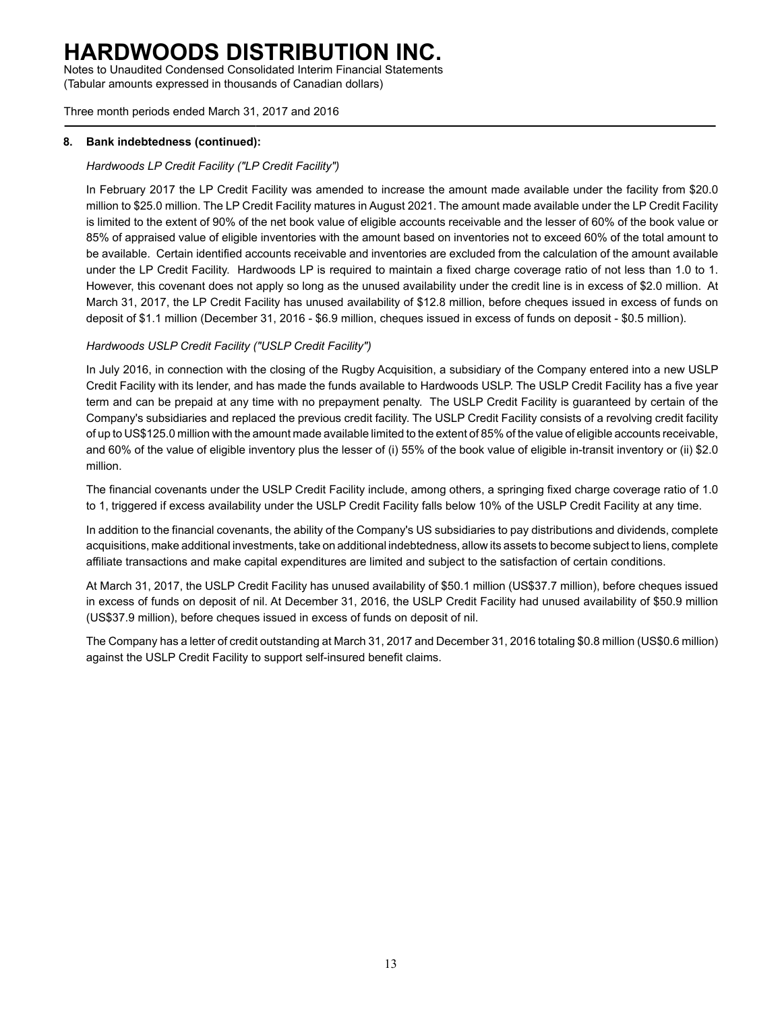Notes to Unaudited Condensed Consolidated Interim Financial Statements (Tabular amounts expressed in thousands of Canadian dollars)

Three month periods ended March 31, 2017 and 2016

### **8. Bank indebtedness (continued):**

### *Hardwoods LP Credit Facility ("LP Credit Facility")*

In February 2017 the LP Credit Facility was amended to increase the amount made available under the facility from \$20.0 million to \$25.0 million. The LP Credit Facility matures in August 2021. The amount made available under the LP Credit Facility is limited to the extent of 90% of the net book value of eligible accounts receivable and the lesser of 60% of the book value or 85% of appraised value of eligible inventories with the amount based on inventories not to exceed 60% of the total amount to be available. Certain identified accounts receivable and inventories are excluded from the calculation of the amount available under the LP Credit Facility. Hardwoods LP is required to maintain a fixed charge coverage ratio of not less than 1.0 to 1. However, this covenant does not apply so long as the unused availability under the credit line is in excess of \$2.0 million. At March 31, 2017, the LP Credit Facility has unused availability of \$12.8 million, before cheques issued in excess of funds on deposit of \$1.1 million (December 31, 2016 - \$6.9 million, cheques issued in excess of funds on deposit - \$0.5 million).

### *Hardwoods USLP Credit Facility ("USLP Credit Facility")*

In July 2016, in connection with the closing of the Rugby Acquisition, a subsidiary of the Company entered into a new USLP Credit Facility with its lender, and has made the funds available to Hardwoods USLP. The USLP Credit Facility has a five year term and can be prepaid at any time with no prepayment penalty. The USLP Credit Facility is guaranteed by certain of the Company's subsidiaries and replaced the previous credit facility. The USLP Credit Facility consists of a revolving credit facility of up to US\$125.0 million with the amount made available limited to the extent of 85% of the value of eligible accounts receivable, and 60% of the value of eligible inventory plus the lesser of (i) 55% of the book value of eligible in-transit inventory or (ii) \$2.0 million.

The financial covenants under the USLP Credit Facility include, among others, a springing fixed charge coverage ratio of 1.0 to 1, triggered if excess availability under the USLP Credit Facility falls below 10% of the USLP Credit Facility at any time.

In addition to the financial covenants, the ability of the Company's US subsidiaries to pay distributions and dividends, complete acquisitions, make additional investments, take on additional indebtedness, allow its assets to become subject to liens, complete affiliate transactions and make capital expenditures are limited and subject to the satisfaction of certain conditions.

At March 31, 2017, the USLP Credit Facility has unused availability of \$50.1 million (US\$37.7 million), before cheques issued in excess of funds on deposit of nil. At December 31, 2016, the USLP Credit Facility had unused availability of \$50.9 million (US\$37.9 million), before cheques issued in excess of funds on deposit of nil.

The Company has a letter of credit outstanding at March 31, 2017 and December 31, 2016 totaling \$0.8 million (US\$0.6 million) against the USLP Credit Facility to support self-insured benefit claims.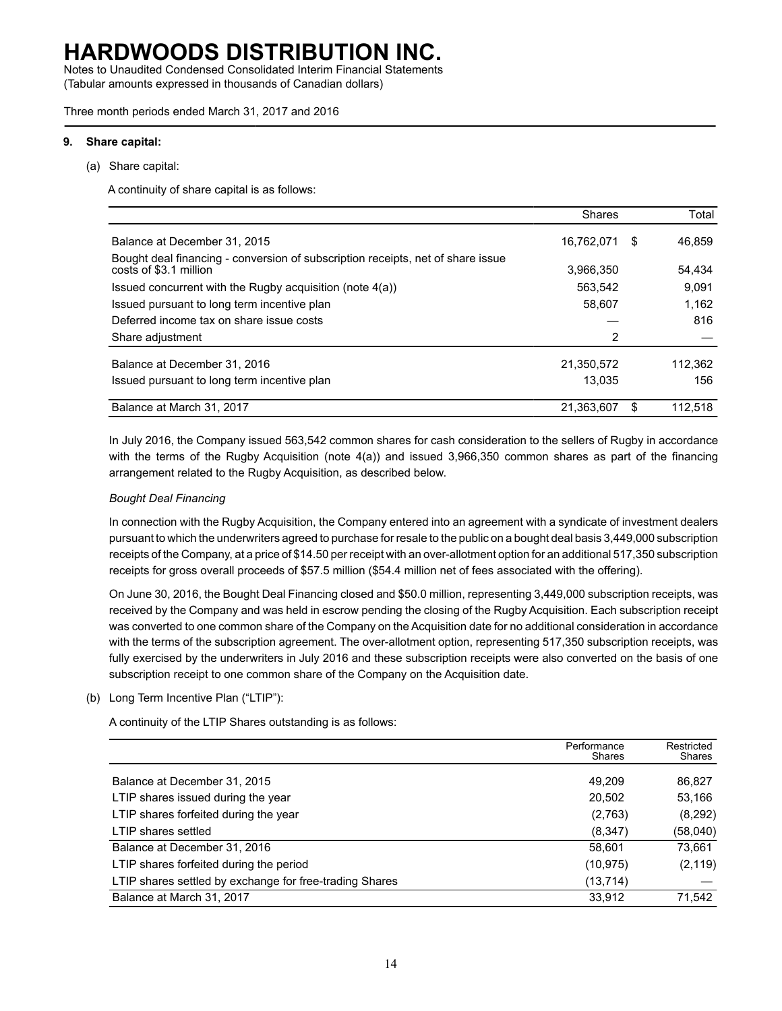Notes to Unaudited Condensed Consolidated Interim Financial Statements (Tabular amounts expressed in thousands of Canadian dollars)

Three month periods ended March 31, 2017 and 2016

#### **9. Share capital:**

(a) Share capital:

A continuity of share capital is as follows:

|                                                                                                           | Shares     |    | Total   |
|-----------------------------------------------------------------------------------------------------------|------------|----|---------|
| Balance at December 31, 2015                                                                              | 16,762,071 | S  | 46.859  |
| Bought deal financing - conversion of subscription receipts, net of share issue<br>costs of \$3.1 million | 3.966.350  |    | 54.434  |
| Issued concurrent with the Rugby acquisition (note 4(a))                                                  | 563.542    |    | 9.091   |
| Issued pursuant to long term incentive plan                                                               | 58,607     |    | 1.162   |
| Deferred income tax on share issue costs                                                                  |            |    | 816     |
| Share adjustment                                                                                          | 2          |    |         |
| Balance at December 31, 2016                                                                              | 21,350,572 |    | 112,362 |
| Issued pursuant to long term incentive plan                                                               | 13.035     |    | 156     |
| Balance at March 31, 2017                                                                                 | 21,363,607 | S. | 112.518 |

In July 2016, the Company issued 563,542 common shares for cash consideration to the sellers of Rugby in accordance with the terms of the Rugby Acquisition (note 4(a)) and issued 3,966,350 common shares as part of the financing arrangement related to the Rugby Acquisition, as described below.

### *Bought Deal Financing*

In connection with the Rugby Acquisition, the Company entered into an agreement with a syndicate of investment dealers pursuant to which the underwriters agreed to purchase for resale to the public on a bought deal basis 3,449,000 subscription receipts of the Company, at a price of \$14.50 per receipt with an over-allotment option for an additional 517,350 subscription receipts for gross overall proceeds of \$57.5 million (\$54.4 million net of fees associated with the offering).

On June 30, 2016, the Bought Deal Financing closed and \$50.0 million, representing 3,449,000 subscription receipts, was received by the Company and was held in escrow pending the closing of the Rugby Acquisition. Each subscription receipt was converted to one common share of the Company on the Acquisition date for no additional consideration in accordance with the terms of the subscription agreement. The over-allotment option, representing 517,350 subscription receipts, was fully exercised by the underwriters in July 2016 and these subscription receipts were also converted on the basis of one subscription receipt to one common share of the Company on the Acquisition date.

#### (b) Long Term Incentive Plan ("LTIP"):

A continuity of the LTIP Shares outstanding is as follows:

|                                                         | Performance<br><b>Shares</b> | Restricted<br>Shares |
|---------------------------------------------------------|------------------------------|----------------------|
| Balance at December 31, 2015                            | 49.209                       | 86,827               |
| LTIP shares issued during the year                      | 20,502                       | 53,166               |
| LTIP shares forfeited during the year                   | (2,763)                      | (8,292)              |
| LTIP shares settled                                     | (8, 347)                     | (58,040)             |
| Balance at December 31, 2016                            | 58,601                       | 73,661               |
| LTIP shares forfeited during the period                 | (10, 975)                    | (2, 119)             |
| LTIP shares settled by exchange for free-trading Shares | (13,714)                     |                      |
| Balance at March 31, 2017                               | 33.912                       | 71,542               |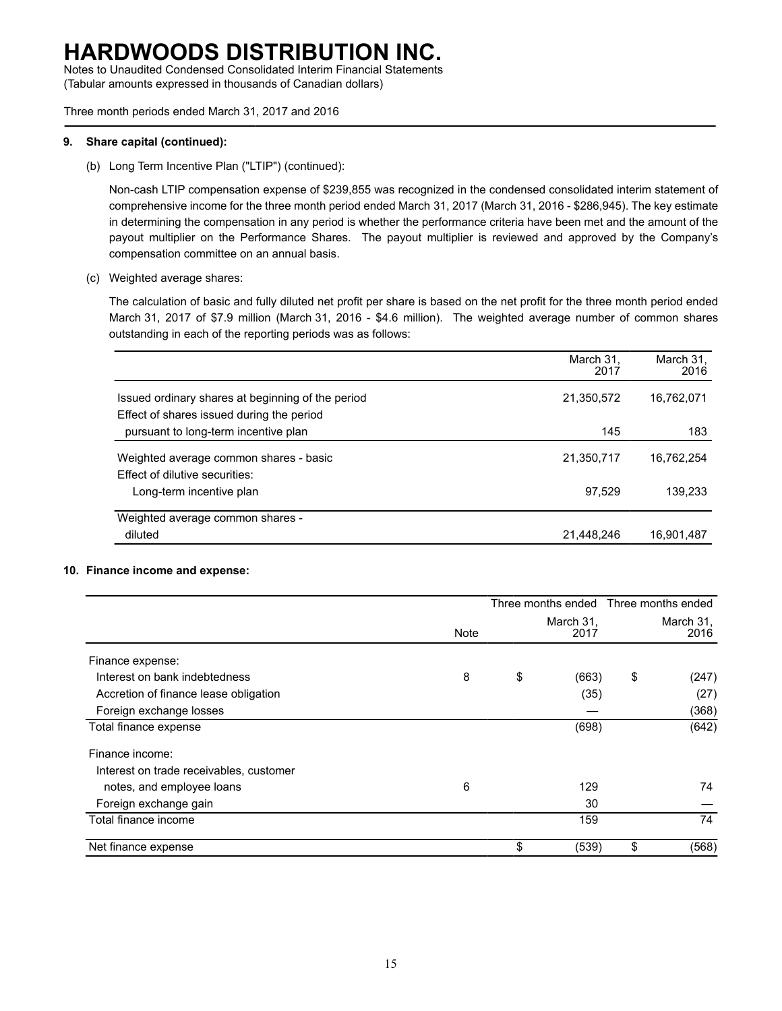Notes to Unaudited Condensed Consolidated Interim Financial Statements (Tabular amounts expressed in thousands of Canadian dollars)

Three month periods ended March 31, 2017 and 2016

### **9. Share capital (continued):**

(b) Long Term Incentive Plan ("LTIP") (continued):

Non-cash LTIP compensation expense of \$239,855 was recognized in the condensed consolidated interim statement of comprehensive income for the three month period ended March 31, 2017 (March 31, 2016 - \$286,945). The key estimate in determining the compensation in any period is whether the performance criteria have been met and the amount of the payout multiplier on the Performance Shares. The payout multiplier is reviewed and approved by the Company's compensation committee on an annual basis.

(c) Weighted average shares:

The calculation of basic and fully diluted net profit per share is based on the net profit for the three month period ended March 31, 2017 of \$7.9 million (March 31, 2016 - \$4.6 million). The weighted average number of common shares outstanding in each of the reporting periods was as follows:

|                                                   | March 31,<br>2017 | March 31,<br>2016 |
|---------------------------------------------------|-------------------|-------------------|
| Issued ordinary shares at beginning of the period | 21,350,572        | 16,762,071        |
| Effect of shares issued during the period         |                   |                   |
| pursuant to long-term incentive plan              | 145               | 183               |
| Weighted average common shares - basic            | 21,350,717        | 16,762,254        |
| Effect of dilutive securities:                    |                   |                   |
| Long-term incentive plan                          | 97.529            | 139.233           |
| Weighted average common shares -                  |                   |                   |
| diluted                                           | 21,448,246        | 16,901,487        |

### **10. Finance income and expense:**

|                                         |      |                   | Three months ended Three months ended |
|-----------------------------------------|------|-------------------|---------------------------------------|
|                                         | Note | March 31,<br>2017 | March 31,<br>2016                     |
| Finance expense:                        |      |                   |                                       |
| Interest on bank indebtedness           | 8    | \$<br>(663)       | \$<br>(247)                           |
| Accretion of finance lease obligation   |      | (35)              | (27)                                  |
| Foreign exchange losses                 |      |                   | (368)                                 |
| Total finance expense                   |      | (698)             | (642)                                 |
| Finance income:                         |      |                   |                                       |
| Interest on trade receivables, customer |      |                   |                                       |
| notes, and employee loans               | 6    | 129               | 74                                    |
| Foreign exchange gain                   |      | 30                |                                       |
| Total finance income                    |      | 159               | 74                                    |
| Net finance expense                     |      | \$<br>(539)       | \$<br>(568)                           |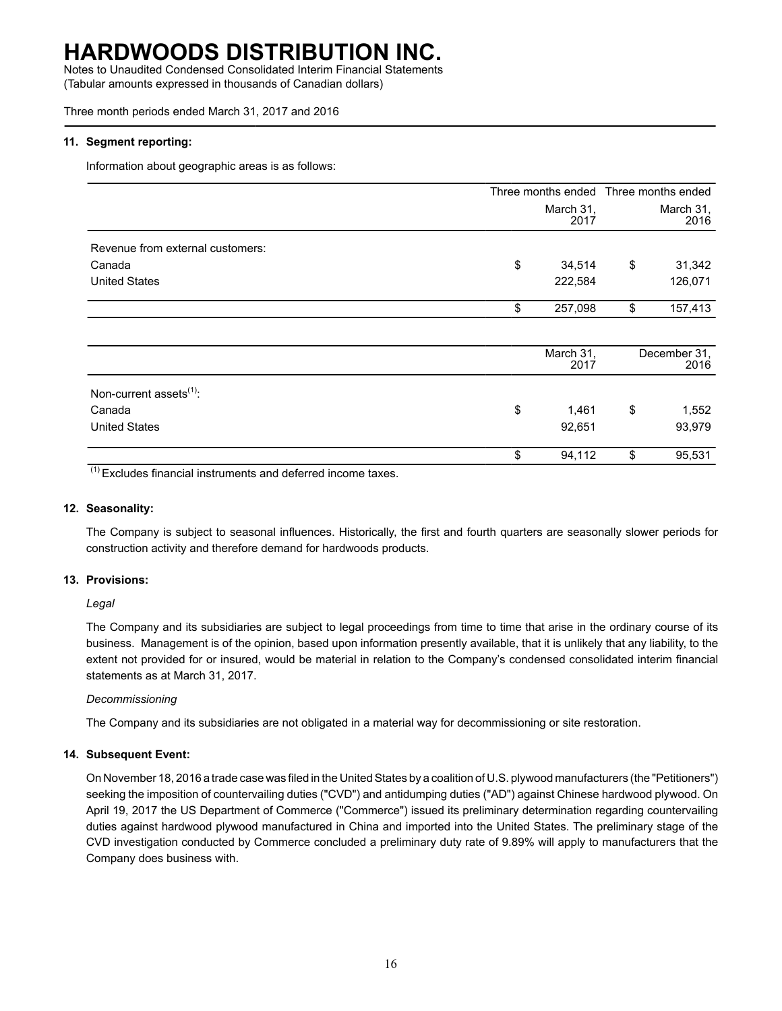Notes to Unaudited Condensed Consolidated Interim Financial Statements (Tabular amounts expressed in thousands of Canadian dollars)

Three month periods ended March 31, 2017 and 2016

### **11. Segment reporting:**

Information about geographic areas is as follows:

|                                     |    |                   | Three months ended Three months ended |                      |
|-------------------------------------|----|-------------------|---------------------------------------|----------------------|
|                                     |    | March 31,<br>2017 |                                       | March 31,<br>2016    |
| Revenue from external customers:    |    |                   |                                       |                      |
| Canada                              | \$ | 34,514            | \$                                    | 31,342               |
| <b>United States</b>                |    | 222,584           |                                       | 126,071              |
|                                     | \$ | 257,098           | \$                                    | 157,413              |
|                                     |    |                   |                                       |                      |
|                                     |    | March 31,<br>2017 |                                       | December 31,<br>2016 |
| Non-current assets <sup>(1)</sup> : |    |                   |                                       |                      |
| Canada                              | \$ | 1,461             | \$                                    | 1,552                |
| <b>United States</b>                |    | 92,651            |                                       | 93,979               |
|                                     | \$ | 94,112            | \$                                    | 95,531               |

(1) Excludes financial instruments and deferred income taxes.

### **12. Seasonality:**

The Company is subject to seasonal influences. Historically, the first and fourth quarters are seasonally slower periods for construction activity and therefore demand for hardwoods products.

### **13. Provisions:**

*Legal*

The Company and its subsidiaries are subject to legal proceedings from time to time that arise in the ordinary course of its business. Management is of the opinion, based upon information presently available, that it is unlikely that any liability, to the extent not provided for or insured, would be material in relation to the Company's condensed consolidated interim financial statements as at March 31, 2017.

### *Decommissioning*

The Company and its subsidiaries are not obligated in a material way for decommissioning or site restoration.

### **14. Subsequent Event:**

On November 18, 2016 a trade case was filed in the United States by a coalition of U.S. plywood manufacturers (the "Petitioners") seeking the imposition of countervailing duties ("CVD") and antidumping duties ("AD") against Chinese hardwood plywood. On April 19, 2017 the US Department of Commerce ("Commerce") issued its preliminary determination regarding countervailing duties against hardwood plywood manufactured in China and imported into the United States. The preliminary stage of the CVD investigation conducted by Commerce concluded a preliminary duty rate of 9.89% will apply to manufacturers that the Company does business with.